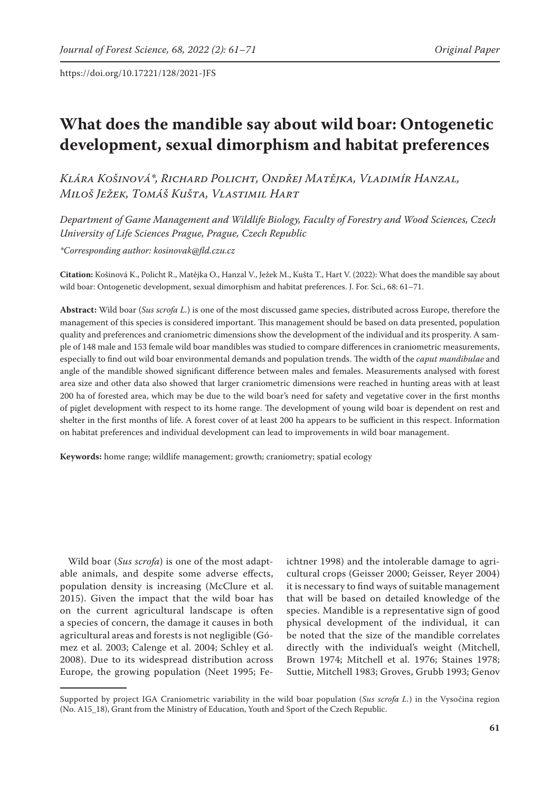# **What does the mandible say about wild boar: Ontogenetic development, sexual dimorphism and habitat preferences**

*Klára Košinová\*, Richard Policht, Ondřej Matějka, Vladimír Hanzal, Miloš Ježek, Tomáš Kušta, Vlastimil Hart*

*Department of Game Management and Wildlife Biology, Faculty of Forestry and Wood Sciences, Czech University of Life Sciences Prague, Prague, Czech Republic*

*\*Corresponding author: kosinovak@fld.czu.cz*

**Citation:** Košinová K., Policht R., Matějka O., Hanzal V., Ježek M., Kušta T., Hart V. (2022): What does the mandible say about wild boar: Ontogenetic development, sexual dimorphism and habitat preferences. J. For. Sci., 68: 61–71.

**Abstract:** Wild boar (*Sus scrofa L.*) is one of the most discussed game species, distributed across Europe, therefore the management of this species is considered important. This management should be based on data presented, population quality and preferences and craniometric dimensions show the development of the individual and its prosperity. A sample of 148 male and 153 female wild boar mandibles was studied to compare differences in craniometric measurements, especially to find out wild boar environmental demands and population trends. The width of the *caput mandibulae* and angle of the mandible showed significant difference between males and females. Measurements analysed with forest area size and other data also showed that larger craniometric dimensions were reached in hunting areas with at least 200 ha of forested area, which may be due to the wild boar's need for safety and vegetative cover in the first months of piglet development with respect to its home range. The development of young wild boar is dependent on rest and shelter in the first months of life. A forest cover of at least 200 ha appears to be sufficient in this respect. Information on habitat preferences and individual development can lead to improvements in wild boar management.

**Keywords:** home range; wildlife management; growth; craniometry; spatial ecology

Wild boar (*Sus scrofa*) is one of the most adaptable animals, and despite some adverse effects, population density is increasing (McClure et al. 2015). Given the impact that the wild boar has on the current agricultural landscape is often a species of concern, the damage it causes in both agricultural areas and forests is not negligible (Gómez et al. 2003; Calenge et al. 2004; Schley et al. 2008). Due to its widespread distribution across Europe, the growing population (Neet 1995; Feichtner 1998) and the intolerable damage to agricultural crops (Geisser 2000; Geisser, Reyer 2004) it is necessary to find ways of suitable management that will be based on detailed knowledge of the species. Mandible is a representative sign of good physical development of the individual, it can be noted that the size of the mandible correlates directly with the individual's weight (Mitchell, Brown 1974; Mitchell et al. 1976; Staines 1978; Suttie, Mitchell 1983; Groves, Grubb 1993; Genov

Supported by project IGA Craniometric variability in the wild boar population (*Sus scrofa L.*) in the Vysočina region (No. A15\_18), Grant from the Ministry of Education, Youth and Sport of the Czech Republic.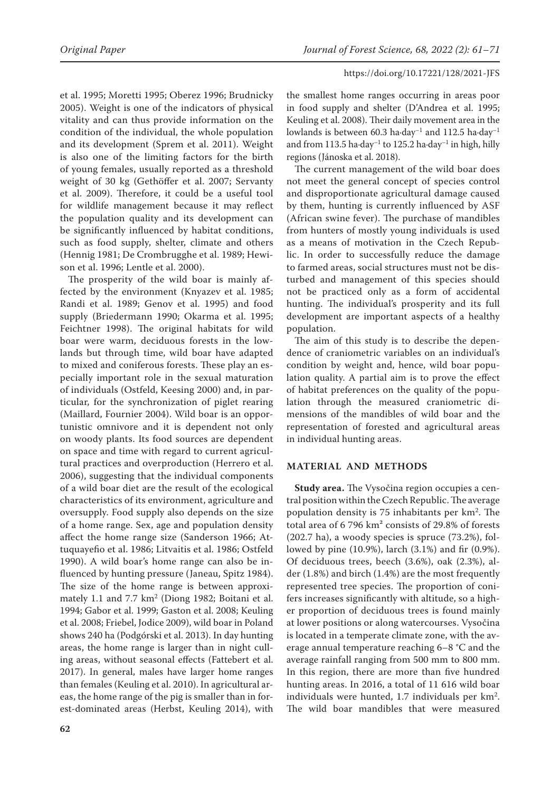et al. 1995; Moretti 1995; Oberez 1996; Brudnicky 2005). Weight is one of the indicators of physical vitality and can thus provide information on the condition of the individual, the whole population and its development (Sprem et al. 2011). Weight is also one of the limiting factors for the birth of young females, usually reported as a threshold weight of 30 kg (Gethöffer et al. 2007; Servanty et al. 2009). Therefore, it could be a useful tool for wildlife management because it may reflect the population quality and its development can be significantly influenced by habitat conditions, such as food supply, shelter, climate and others (Hennig 1981; De Crombrugghe et al. 1989; Hewison et al. 1996; Lentle et al. 2000).

The prosperity of the wild boar is mainly affected by the environment (Knyazev et al. 1985; Randi et al. 1989; Genov et al. 1995) and food supply (Briedermann 1990; Okarma et al. 1995; Feichtner 1998). The original habitats for wild boar were warm, deciduous forests in the lowlands but through time, wild boar have adapted to mixed and coniferous forests. These play an especially important role in the sexual maturation of individuals (Ostfeld, Keesing 2000) and, in particular, for the synchronization of piglet rearing (Maillard, Fournier 2004). Wild boar is an opportunistic omnivore and it is dependent not only on woody plants. Its food sources are dependent on space and time with regard to current agricultural practices and overproduction (Herrero et al. 2006), suggesting that the individual components of a wild boar diet are the result of the ecological characteristics of its environment, agriculture and oversupply. Food supply also depends on the size of a home range. Sex, age and population density affect the home range size (Sanderson 1966; Attuquayefio et al. 1986; Litvaitis et al. 1986; Ostfeld 1990). A wild boar's home range can also be influenced by hunting pressure (Janeau, Spitz 1984). The size of the home range is between approximately 1.1 and 7.7 km<sup>2</sup> (Diong 1982; Boitani et al. 1994; Gabor et al. 1999; Gaston et al. 2008; Keuling et al. 2008; Friebel, Jodice 2009), wild boar in Poland shows 240 ha (Podgórski et al. 2013). In day hunting areas, the home range is larger than in night culling areas, without seasonal effects (Fattebert et al. 2017). In general, males have larger home ranges than females (Keuling et al. 2010). In agricultural areas, the home range of the pig is smaller than in forest-dominated areas (Herbst, Keuling 2014), with

the smallest home ranges occurring in areas poor in food supply and shelter (D'Andrea et al. 1995; Keuling et al. 2008). Their daily movement area in the lowlands is between 60.3 ha·day<sup>-1</sup> and 112.5 ha·day<sup>-1</sup> and from 113.5 ha·day<sup>-1</sup> to 125.2 ha·day<sup>-1</sup> in high, hilly regions (Jánoska et al. 2018).

The current management of the wild boar does not meet the general concept of species control and disproportionate agricultural damage caused by them, hunting is currently influenced by ASF (African swine fever). The purchase of mandibles from hunters of mostly young individuals is used as a means of motivation in the Czech Republic. In order to successfully reduce the damage to farmed areas, social structures must not be disturbed and management of this species should not be practiced only as a form of accidental hunting. The individual's prosperity and its full development are important aspects of a healthy population.

The aim of this study is to describe the dependence of craniometric variables on an individual's condition by weight and, hence, wild boar population quality. A partial aim is to prove the effect of habitat preferences on the quality of the population through the measured craniometric dimensions of the mandibles of wild boar and the representation of forested and agricultural areas in individual hunting areas.

## **MATERIAL AND METHODS**

**Study area.** The Vysočina region occupies a central position within the Czech Republic. The average population density is 75 inhabitants per km<sup>2</sup>. The total area of 6 796 km² consists of 29.8% of forests (202.7 ha), a woody species is spruce (73.2%), followed by pine (10.9%), larch (3.1%) and fir (0.9%). Of deciduous trees, beech (3.6%), oak (2.3%), alder (1.8%) and birch (1.4%) are the most frequently represented tree species. The proportion of conifers increases significantly with altitude, so a higher proportion of deciduous trees is found mainly at lower positions or along watercourses. Vysočina is located in a temperate climate zone, with the average annual temperature reaching 6–8 °C and the average rainfall ranging from 500 mm to 800 mm. In this region, there are more than five hundred hunting areas. In 2016, a total of 11 616 wild boar individuals were hunted,  $1.7$  individuals per  $\text{km}^2$ . The wild boar mandibles that were measured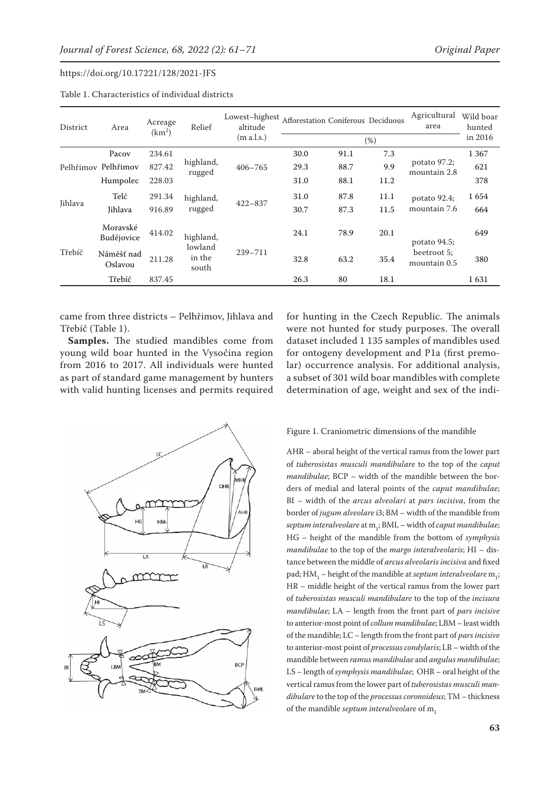| District | Area                   | Acreage<br>(km <sup>2</sup> ) | Relief                                  | Lowest-highest<br>altitude<br>(m a.l.s.) | Afforestation Coniferous Deciduous |      |      | Agricultural<br>area                        | Wild boar<br>hunted |
|----------|------------------------|-------------------------------|-----------------------------------------|------------------------------------------|------------------------------------|------|------|---------------------------------------------|---------------------|
|          |                        |                               |                                         |                                          |                                    |      | (%)  |                                             | in 2016             |
|          | Pacov                  | 234.61                        |                                         | $406 - 765$                              | 30.0                               | 91.1 | 7.3  |                                             | 1 3 6 7             |
|          | Pelhřimov Pelhřimov    | 827.42                        | highland,<br>rugged                     |                                          | 29.3                               | 88.7 | 9.9  | potato 97.2;<br>mountain 2.8                | 621                 |
|          | Humpolec               | 228.03                        |                                         |                                          | 31.0                               | 88.1 | 11.2 |                                             | 378                 |
| Jihlava  | Telč                   | 291.34                        | highland,                               | $422 - 837$                              | 31.0                               | 87.8 | 11.1 | potato 92.4;<br>mountain 7.6                | 1654                |
|          | <b>Jihlava</b>         | 916.89                        | rugged                                  |                                          | 30.7                               | 87.3 | 11.5 |                                             | 664                 |
| Třebíč   | Moravské<br>Budějovice | 414.02                        | highland,<br>lowland<br>in the<br>south | 239-711                                  | 24.1                               | 78.9 | 20.1 | potato 94.5;<br>beetroot 5;<br>mountain 0.5 | 649                 |
|          | Náměšť nad<br>Oslavou  | 211.28                        |                                         |                                          | 32.8                               | 63.2 | 35.4 |                                             | 380                 |
|          | Třebíč                 | 837.45                        |                                         |                                          | 26.3                               | 80   | 18.1 |                                             | 1631                |

Table 1. Characteristics of individual districts

came from three districts – Pelhřimov, Jihlava and Třebíč (Table 1).

**Samples.** The studied mandibles come from young wild boar hunted in the Vysočina region from 2016 to 2017. All individuals were hunted as part of standard game management by hunters with valid hunting licenses and permits required for hunting in the Czech Republic. The animals were not hunted for study purposes. The overall dataset included 1 135 samples of mandibles used for ontogeny development and P1a (first premolar) occurrence analysis. For additional analysis, a subset of 301 wild boar mandibles with complete determination of age, weight and sex of the indi-



#### Figure 1. Craniometric dimensions of the mandible

AHR – aboral height of the vertical ramus from the lower part of *tuberosistas musculi mandibulare* to the top of the *caput mandibulae*; BCP – width of the mandible between the borders of medial and lateral points of the *caput mandibulae*; BI – width of the *arcus alveolari* at *pars incisiva*, from the border of *jugum alveolare* i3; BM – width of the mandible from *septum interalveolare* at m1 ; BML – width of *caput mandibulae*; HG – height of the mandible from the bottom of *symphysis mandibulae* to the top of the *margo interalveolaris*; HI – distance between the middle of *arcus alveolaris incisiva* and fixed pad; HM<sub>1</sub> – height of the mandible at *septum interalveolare*  $m_{1}$ ; HR – middle height of the vertical ramus from the lower part of *tuberosistas musculi mandibulare* to the top of the *incisura mandibulae*; LA – length from the front part of *pars incisive* to anterior-most point of *collum mandibulae*; LBM – least width of the mandible; LC – length from the front part of *pars incisive* to anterior-most point of *processus condylaris*; LR – width of the mandible between *ramus mandibulae* and *angulus mandibulae*; LS – length of *symphysis mandibulae*; OHR – oral height of the vertical ramus from the lower part of *tuberosistas musculi mandibulare* to the top of the *processus coronoideus*; TM – thickness of the mandible *septum interalveolare* of m<sub>1</sub>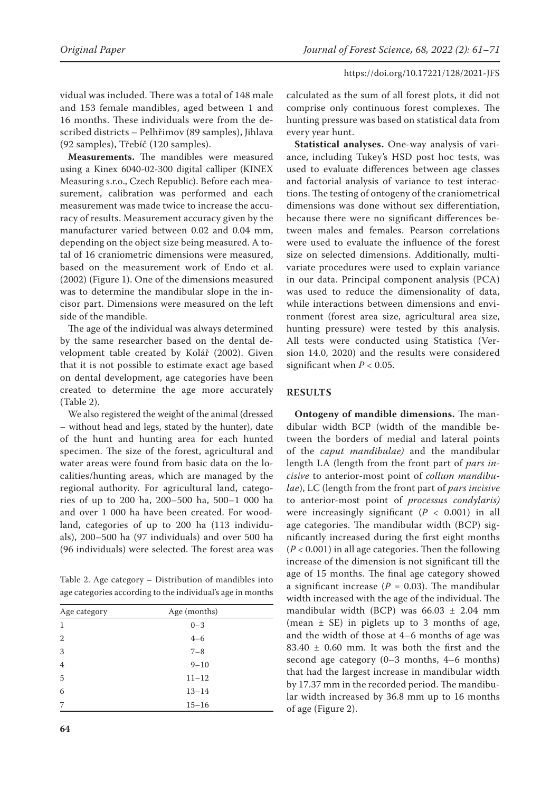vidual was included. There was a total of 148 male and 153 female mandibles, aged between 1 and 16 months. These individuals were from the described districts – Pelhřimov (89 samples), Jihlava (92 samples), Třebíč (120 samples).

**Measurements.** The mandibles were measured using a Kinex 6040-02-300 digital calliper (KINEX Measuring s.r.o., Czech Republic). Before each measurement, calibration was performed and each measurement was made twice to increase the accuracy of results. Measurement accuracy given by the manufacturer varied between 0.02 and 0.04 mm, depending on the object size being measured. A total of 16 craniometric dimensions were measured, based on the measurement work of Endo et al. (2002) (Figure 1). One of the dimensions measured was to determine the mandibular slope in the incisor part. Dimensions were measured on the left side of the mandible.

The age of the individual was always determined by the same researcher based on the dental development table created by Kolář (2002). Given that it is not possible to estimate exact age based on dental development, age categories have been created to determine the age more accurately (Table 2).

We also registered the weight of the animal (dressed – without head and legs, stated by the hunter), date of the hunt and hunting area for each hunted specimen. The size of the forest, agricultural and water areas were found from basic data on the localities/hunting areas, which are managed by the regional authority. For agricultural land, categories of up to 200 ha, 200–500 ha, 500–1 000 ha and over 1 000 ha have been created. For woodland, categories of up to 200 ha (113 individuals), 200–500 ha (97 individuals) and over 500 ha (96 individuals) were selected. The forest area was

Table 2. Age category – Distribution of mandibles into age categories according to the individual's age in months

| Age category   | Age (months) |  |
|----------------|--------------|--|
| 1              | $0 - 3$      |  |
| 2              | $4 - 6$      |  |
| 3              | $7 - 8$      |  |
| $\overline{4}$ | $9 - 10$     |  |
| 5              | $11 - 12$    |  |
| 6              | $13 - 14$    |  |
| 7              | $15 - 16$    |  |

calculated as the sum of all forest plots, it did not comprise only continuous forest complexes. The hunting pressure was based on statistical data from every year hunt.

**Statistical analyses.** One-way analysis of variance, including Tukey's HSD post hoc tests, was used to evaluate differences between age classes and factorial analysis of variance to test interactions. The testing of ontogeny of the craniometrical dimensions was done without sex differentiation, because there were no significant differences between males and females. Pearson correlations were used to evaluate the influence of the forest size on selected dimensions. Additionally, multivariate procedures were used to explain variance in our data. Principal component analysis (PCA) was used to reduce the dimensionality of data, while interactions between dimensions and environment (forest area size, agricultural area size, hunting pressure) were tested by this analysis. All tests were conducted using Statistica (Version 14.0, 2020) and the results were considered significant when  $P < 0.05$ .

# **RESULTS**

**Ontogeny of mandible dimensions.** The mandibular width BCP (width of the mandible between the borders of medial and lateral points of the *caput mandibulae)* and the mandibular length LA (length from the front part of *pars incisive* to anterior-most point of *collum mandibulae*), LC (length from the front part of *pars incisive* to anterior-most point of *processus condylaris)* were increasingly significant (*P* < 0.001) in all age categories. The mandibular width (BCP) significantly increased during the first eight months (*P* < 0.001) in all age categories. Then the following increase of the dimension is not significant till the age of 15 months. The final age category showed a significant increase  $(P = 0.03)$ . The mandibular width increased with the age of the individual. The mandibular width (BCP) was  $66.03 \pm 2.04$  mm (mean  $\pm$  SE) in piglets up to 3 months of age, and the width of those at 4–6 months of age was  $83.40 \pm 0.60$  mm. It was both the first and the second age category (0–3 months, 4–6 months) that had the largest increase in mandibular width by 17.37 mm in the recorded period. The mandibular width increased by 36.8 mm up to 16 months of age (Figure 2).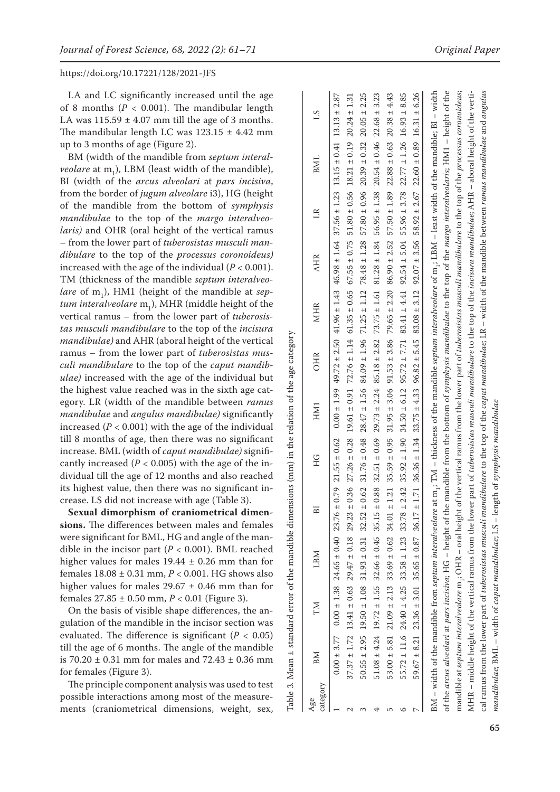LA and LC significantly increased until the age of 8 months  $(P < 0.001)$ . The mandibular length LA was  $115.59 \pm 4.07$  mm till the age of 3 months. The mandibular length LC was  $123.15 \pm 4.42$  mm up to 3 months of age (Figure 2).

BM (width of the mandible from *septum interal veolare* at m 1 ), LBM (least width of the mandible), BI (width of the *arcus alveolari* at *pars incisiva*, from the border of *jugum alveolare* i3), HG (height of the mandible from the bottom of *symphysis mandibulae* to the top of the *margo interalveo laris)* and OHR (oral height of the vertical ramus – from the lower part of *tuberosistas musculi man dibulare* to the top of the *processus coronoideus)* increased with the age of the individual  $(P < 0.001)$ . TM (thickness of the mandible *septum interalveo lare* of m 1 ), HM1 (height of the mandible at *sep tum interalveolare* m 1 ), MHR (middle height of the vertical ramus – from the lower part of *tuberosis tas musculi mandibulare* to the top of the *incisura mandibulae)* and AHR (aboral height of the vertical ramus – from the lower part of *tuberosistas mus culi mandibulare* to the top of the *caput mandib ulae)* increased with the age of the individual but the highest value reached was in the sixth age cat egory. LR (width of the mandible between *ramus mandibulae* and *angulus mandibulae)* significantly increased  $(P < 0.001)$  with the age of the individual till 8 months of age, then there was no significant increase. BML (width of *caput mandibulae)* signifi cantly increased ( $P < 0.005$ ) with the age of the individual till the age of 12 months and also reached its highest value, then there was no significant in crease. LS did not increase with age (Table 3).

**Sexual dimorphism of craniometrical dimen sions.** The differences between males and females were significant for BML, HG and angle of the man dible in the incisor part  $(P < 0.001)$ . BML reached higher values for males  $19.44 \pm 0.26$  mm than for females 18.08 ± 0.31 mm, *P* < 0.001. HG shows also higher values for males  $29.67 \pm 0.46$  mm than for females 27.85 ± 0.50 mm, *P* < 0.01 (Figure 3).

On the basis of visible shape differences, the an gulation of the mandible in the incisor section was evaluated. The difference is significant  $(P < 0.05)$ till the age of 6 months. The angle of the mandible is 70.20  $\pm$  0.31 mm for males and 72.43  $\pm$  0.36 mm for females (Figure 3).

The principle component analysis was used to test possible interactions among most of the measure ments (craniometrical dimensions, weight, sex, error of the mandible dimensions (mm) in the relation of the age category Table 3. Mean *±* standard error of the mandible dimensions (mm) in the relation of the age category Table 3. Mean ± standard

| category<br>Age | BМ | ZМ                                                                                                                                                                                                                                                           | LBM | E | ЭH | HM1 | OHR | <b>MHR</b> | <b>AHR</b> | $\mathbb{R}$ | <b>BML</b>                                                                                                               | 51               |
|-----------------|----|--------------------------------------------------------------------------------------------------------------------------------------------------------------------------------------------------------------------------------------------------------------|-----|---|----|-----|-----|------------|------------|--------------|--------------------------------------------------------------------------------------------------------------------------|------------------|
|                 |    | $0.00 + 3.77$ $0.00 + 1.38$ $24.65 + 0.40$ $23.76 + 0.79$ $21.55 + 0.62$ $0.00 + 1.99$ $49.72 + 2.50$ $41.96 + 1.43$ $45.98 + 1.64$ $37.56 + 1.23$ $13.15 + 0.41$ $13.13 + 2.87$                                                                             |     |   |    |     |     |            |            |              |                                                                                                                          |                  |
|                 |    | $37.37 \pm 1.72$ $13.41 \pm 0.63$ $29.47 \pm 0.18$ $29.23 \pm 0.36$ $27.26 \pm 0.28$ $27.26 \pm 0.28$ $29.27 \pm 0.28$ $29.28 \pm 0.28$ $29.23 \pm 0.28$ $29.24 \pm 0.28$ $29.25 \pm 0.28$ $20.27 \pm 0.28$ $20.27 \pm 0.28$ $20.27 \pm 0.28$ $20.28 \pm 0.$ |     |   |    |     |     |            |            |              |                                                                                                                          | $20.24 \pm 1.31$ |
|                 |    | $50.55 \pm 2.95$ 19.50 $\pm$ 1.08 31.93 $\pm$ 0.31 32.52 $\pm$ 0.62 31.76 $\pm$ 0.48 28.47 $\pm$ 1.56 84.09 $\pm$ 1.96 71.25 $\pm$ 1.12 78.48 $\pm$ 1.28 57.80 $\pm$ 0.36 2039 $\pm$ 0.32                                                                    |     |   |    |     |     |            |            |              |                                                                                                                          | $20.05 \pm 2.25$ |
|                 |    | $51.08 \pm 4.24$ $12.72 \pm 1.55$ $32.66 \pm 0.45$ $35.15 \pm 0.88$ $32.51 \pm 0.69$ $29.73 \pm 2.24$ $85.18 \pm 2.82$ $73.75 \pm 1.61$ $81.28 \pm 1.84$ $56.95 \pm 1.38$ $20.54 \pm 0.46$                                                                   |     |   |    |     |     |            |            |              |                                                                                                                          | $22.68 \pm 3.23$ |
|                 |    | $53.00 \pm 5.81$ $21.09 \pm 2.13$ $33.69 \pm 0.62$ $34.01 \pm 1.21$ $35.59 \pm 0.95$ $31.95 \pm 3.06$ $91.53 \pm 3.86$ $79.65 \pm 2.20$ $86.90 \pm 2.52$ $57.50 \pm 1.89$ $22.88 \pm 0.63$                                                                   |     |   |    |     |     |            |            |              |                                                                                                                          | $20.38 \pm 4.43$ |
|                 |    | $55.72 \pm 11.6$ $24.40 \pm 4.25$ $33.58 \pm 1.23$ $33.78 \pm 1.25$                                                                                                                                                                                          |     |   |    |     |     |            |            |              | $2.42$ 35.92 ± 1.90 34.50 ± 6.12 95.72 ± 7.71 83.41 ± 4.41 92.54 ± 5.04 55.96 ± 3.78 22.77 ± 1.26 16.93 ± 8.85           |                  |
|                 |    | $59.67 \pm 8.21$ $23.36 \pm 3.01$ $35.65 \pm 0.87$ $36.17 \pm 1.71$ $36.36 \pm 1.34$ $33.75 \pm 4.33$ $96.82 \pm 5.45$ $83.08 \pm 3.12$ $92.07 \pm 3.56$ $58.92 \pm 2.67$ $22.60 \pm 0.89$ $16.31 \pm 6.26$                                                  |     |   |    |     |     |            |            |              |                                                                                                                          |                  |
|                 |    | BM - width of the mandible from septum interalveolare                                                                                                                                                                                                        |     |   |    |     |     |            |            |              | at $m_i$ ; TM – thickness of the mandible septum interalveolare of $m_i$ ; LBM – least width of the mandible; B1 – width |                  |
|                 |    | of the <i>arcus alveolari at pars incisiva</i> ; HG – height of the mandible from the bottom of <i>symphysis mandibulae</i> to the top of the <i>margo interalveolaris</i> ; HM1 – height of the                                                             |     |   |    |     |     |            |            |              |                                                                                                                          |                  |
|                 |    | mandible at <i>septum interalveolare</i> m.; OHR – oral height of the vertical ramus from the lower part of <i>tuberosistas musculi mandibulare</i> to the top of the <i>processus coronoideus</i> ;                                                         |     |   |    |     |     |            |            |              |                                                                                                                          |                  |
|                 |    | MHR – middle height of the vertical ramus from the lower part of <i>tuberosistas musculi mandibulare</i> to the top of the <i>incisura mandibulae</i> ; AHR – aboral height of the verti-                                                                    |     |   |    |     |     |            |            |              |                                                                                                                          |                  |
|                 |    | cal ramus from the lower part of tuberosistas musculi mandibulare to the top of the caput mandibulae; LR – width of the mandible between ramus mandibulae and angulus                                                                                        |     |   |    |     |     |            |            |              |                                                                                                                          |                  |
|                 |    | mandibulae; BML – width of caput mandibulae; LS – length of symphysis mandibulae                                                                                                                                                                             |     |   |    |     |     |            |            |              |                                                                                                                          |                  |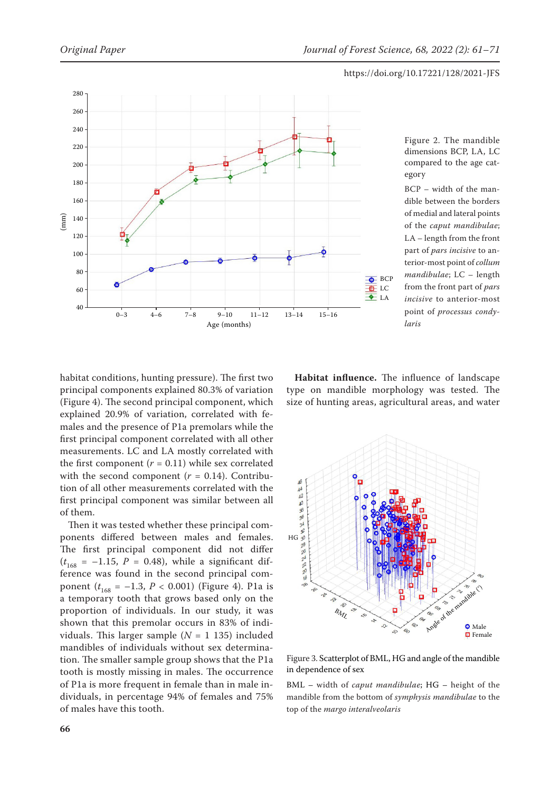

Figure 2. The mandible dimensions BCP, LA, LC compared to the age category

BCP – width of the mandible between the borders of medial and lateral points of the *caput mandibulae*; LA – length from the front part of *pars incisive* to anterior-most point of *collum mandibulae*; LC – length from the front part of *pars incisive* to anterior-most point of *processus condylaris*

habitat conditions, hunting pressure). The first two principal components explained 80.3% of variation (Figure 4). The second principal component, which explained 20.9% of variation, correlated with females and the presence of P1a premolars while the first principal component correlated with all other measurements. LC and LA mostly correlated with the first component  $(r = 0.11)$  while sex correlated with the second component  $(r = 0.14)$ . Contribution of all other measurements correlated with the first principal component was similar between all of them.

Then it was tested whether these principal components differed between males and females. The first principal component did not differ  $(t_{168} = -1.15, P = 0.48)$ , while a significant difference was found in the second principal component  $(t_{168} = -1.3, P < 0.001)$  (Figure 4). P1a is a temporary tooth that grows based only on the proportion of individuals. In our study, it was shown that this premolar occurs in 83% of individuals. This larger sample  $(N = 1 135)$  included mandibles of individuals without sex determination. The smaller sample group shows that the P1a tooth is mostly missing in males. The occurrence of P1a is more frequent in female than in male individuals, in percentage 94% of females and 75% of males have this tooth.

**Habitat influence.** The influence of landscape type on mandible morphology was tested. The size of hunting areas, agricultural areas, and water



Figure 3. Scatterplot of BML, HG and angle of the mandible in dependence of sex

BML – width of *caput mandibulae*; HG – height of the mandible from the bottom of *symphysis mandibulae* to the top of the *margo interalveolaris*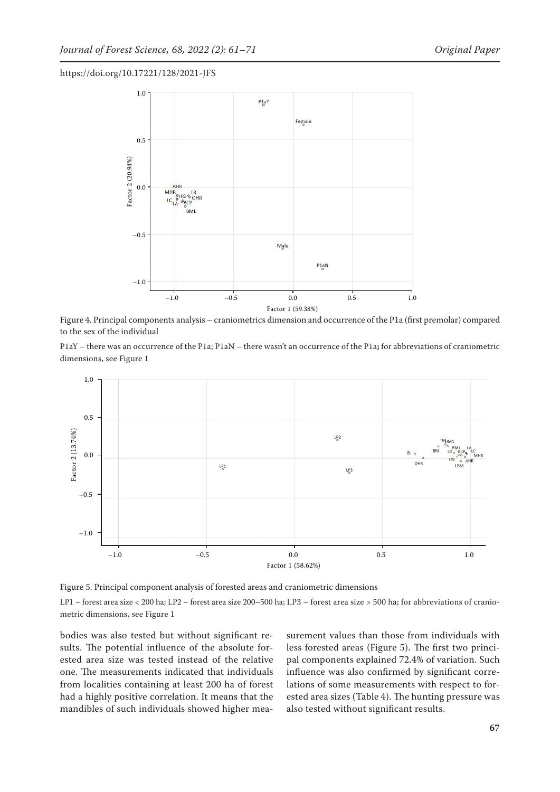

Figure 4. Principal components analysis – craniometrics dimension and occurrence of the P1a (first premolar) compared to the sex of the individual

P1aY – there was an occurrence of the P1a; P1aN – there wasn't an occurrence of the P1a**;** for abbreviations of craniometric dimensions, see Figure 1



Figure 5. Principal component analysis of forested areas and craniometric dimensions

LP1 – forest area size < 200 ha; LP2 – forest area size 200–500 ha; LP3 – forest area size > 500 ha; for abbreviations of craniometric dimensions, see Figure 1

bodies was also tested but without significant results. The potential influence of the absolute forested area size was tested instead of the relative one. The measurements indicated that individuals from localities containing at least 200 ha of forest had a highly positive correlation. It means that the mandibles of such individuals showed higher measurement values than those from individuals with less forested areas (Figure 5). The first two principal components explained 72.4% of variation. Such influence was also confirmed by significant correlations of some measurements with respect to forested area sizes (Table 4). The hunting pressure was also tested without significant results.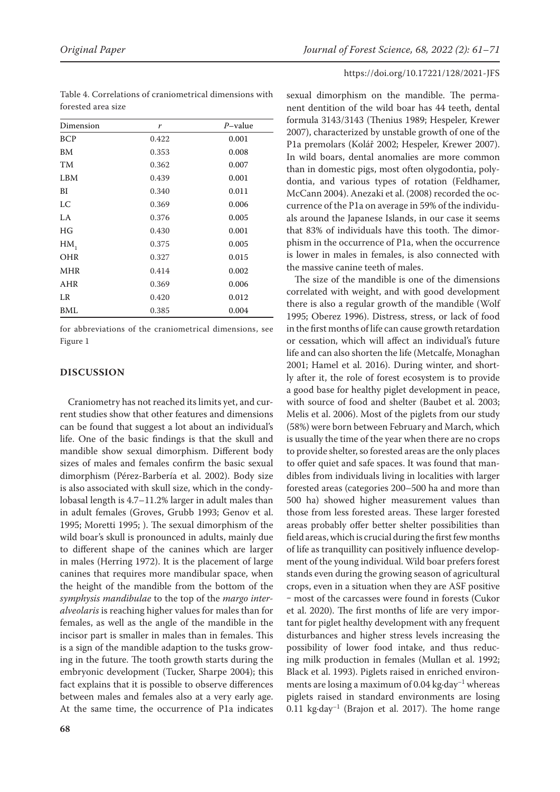| Dimension  | r     | $P$ -value |
|------------|-------|------------|
| <b>BCP</b> | 0.422 | 0.001      |
| BM         | 0.353 | 0.008      |
| TM         | 0.362 | 0.007      |
| LBM        | 0.439 | 0.001      |
| ВI         | 0.340 | 0.011      |
| LC         | 0.369 | 0.006      |
| LA         | 0.376 | 0.005      |
| HG         | 0.430 | 0.001      |
| $HM_1$     | 0.375 | 0.005      |
| <b>OHR</b> | 0.327 | 0.015      |
| <b>MHR</b> | 0.414 | 0.002      |
| AHR        | 0.369 | 0.006      |
| LR         | 0.420 | 0.012      |
| BML        | 0.385 | 0.004      |

Table 4. Correlations of craniometrical dimensions with forested area size

for abbreviations of the craniometrical dimensions, see Figure 1

## **DISCUSSION**

Craniometry has not reached its limits yet, and current studies show that other features and dimensions can be found that suggest a lot about an individual's life. One of the basic findings is that the skull and mandible show sexual dimorphism. Different body sizes of males and females confirm the basic sexual dimorphism (Pérez-Barbería et al. 2002). Body size is also associated with skull size, which in the condylobasal length is 4.7–11.2% larger in adult males than in adult females (Groves, Grubb 1993; Genov et al. 1995; Moretti 1995; ). The sexual dimorphism of the wild boar's skull is pronounced in adults, mainly due to different shape of the canines which are larger in males (Herring 1972). It is the placement of large canines that requires more mandibular space, when the height of the mandible from the bottom of the *symphysis mandibulae* to the top of the *margo interalveolaris* is reaching higher values for males than for females, as well as the angle of the mandible in the incisor part is smaller in males than in females. This is a sign of the mandible adaption to the tusks growing in the future. The tooth growth starts during the embryonic development (Tucker, Sharpe 2004); this fact explains that it is possible to observe differences between males and females also at a very early age. At the same time, the occurrence of P1a indicates

*Original Paper Journal of Forest Science, 68, 2022 (2): 61–71*

## https://doi.org/10.17221/128/2021-JFS

sexual dimorphism on the mandible. The permanent dentition of the wild boar has 44 teeth, dental formula 3143/3143 (Thenius 1989; Hespeler, Krewer 2007), characterized by unstable growth of one of the P1a premolars (Kolář 2002; Hespeler, Krewer 2007). In wild boars, dental anomalies are more common than in domestic pigs, most often olygodontia, polydontia, and various types of rotation (Feldhamer, McCann 2004). Anezaki et al. (2008) recorded the occurrence of the P1a on average in 59% of the individuals around the Japanese Islands, in our case it seems that 83% of individuals have this tooth. The dimorphism in the occurrence of P1a, when the occurrence is lower in males in females, is also connected with the massive canine teeth of males.

The size of the mandible is one of the dimensions correlated with weight, and with good development there is also a regular growth of the mandible (Wolf 1995; Oberez 1996). Distress, stress, or lack of food in the first months of life can cause growth retardation or cessation, which will affect an individual's future life and can also shorten the life (Metcalfe, Monaghan 2001; Hamel et al. 2016). During winter, and shortly after it, the role of forest ecosystem is to provide a good base for healthy piglet development in peace, with source of food and shelter (Baubet et al. 2003; Melis et al. 2006). Most of the piglets from our study (58%) were born between February and March, which is usually the time of the year when there are no crops to provide shelter, so forested areas are the only places to offer quiet and safe spaces. It was found that mandibles from individuals living in localities with larger forested areas (categories 200–500 ha and more than 500 ha) showed higher measurement values than those from less forested areas. These larger forested areas probably offer better shelter possibilities than field areas, which is crucial during the first few months of life as tranquillity can positively influence development of the young individual. Wild boar prefers forest stands even during the growing season of agricultural crops, even in a situation when they are ASF positive ‒ most of the carcasses were found in forests (Cukor et al. 2020). The first months of life are very important for piglet healthy development with any frequent disturbances and higher stress levels increasing the possibility of lower food intake, and thus reducing milk production in females (Mullan et al. 1992; Black et al. 1993). Piglets raised in enriched environments are losing a maximum of 0.04 kg $\cdot$ day<sup>-1</sup> whereas piglets raised in standard environments are losing  $0.11$  kg·day<sup>-1</sup> (Brajon et al. 2017). The home range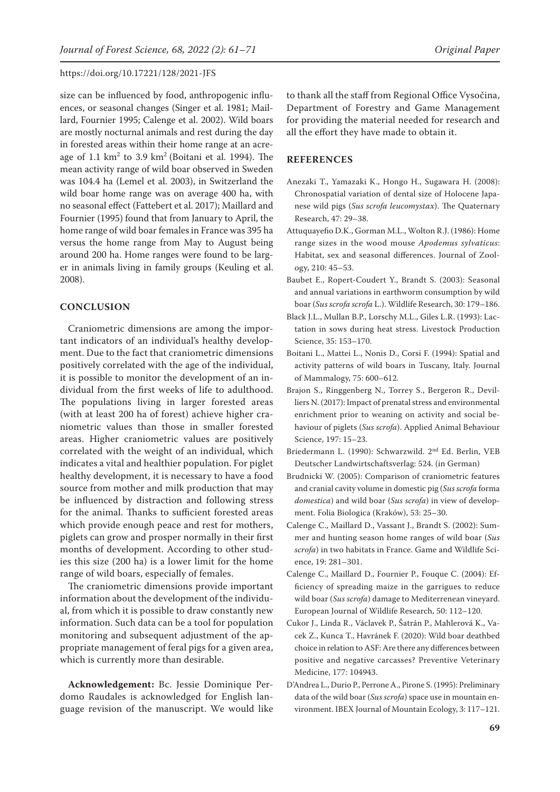size can be influenced by food, anthropogenic influences, or seasonal changes (Singer et al. 1981; Maillard, Fournier 1995; Calenge et al. 2002). Wild boars are mostly nocturnal animals and rest during the day in forested areas within their home range at an acreage of  $1.1 \text{ km}^2$  to  $3.9 \text{ km}^2$  (Boitani et al. 1994). The mean activity range of wild boar observed in Sweden was 104.4 ha (Lemel et al. 2003), in Switzerland the wild boar home range was on average 400 ha, with no seasonal effect (Fattebert et al. 2017); Maillard and Fournier (1995) found that from January to April, the home range of wild boar females in France was 395 ha versus the home range from May to August being around 200 ha. Home ranges were found to be larger in animals living in family groups (Keuling et al. 2008).

#### **CONCLUSION**

Craniometric dimensions are among the important indicators of an individual's healthy development. Due to the fact that craniometric dimensions positively correlated with the age of the individual, it is possible to monitor the development of an individual from the first weeks of life to adulthood. The populations living in larger forested areas (with at least 200 ha of forest) achieve higher craniometric values than those in smaller forested areas. Higher craniometric values are positively correlated with the weight of an individual, which indicates a vital and healthier population. For piglet healthy development, it is necessary to have a food source from mother and milk production that may be influenced by distraction and following stress for the animal. Thanks to sufficient forested areas which provide enough peace and rest for mothers, piglets can grow and prosper normally in their first months of development. According to other studies this size (200 ha) is a lower limit for the home range of wild boars, especially of females.

The craniometric dimensions provide important information about the development of the individual, from which it is possible to draw constantly new information. Such data can be a tool for population monitoring and subsequent adjustment of the appropriate management of feral pigs for a given area, which is currently more than desirable.

**Acknowledgement:** Bc. Jessie Dominique Perdomo Raudales is acknowledged for English language revision of the manuscript. We would like to thank all the staff from Regional Office Vysočina, Department of Forestry and Game Management for providing the material needed for research and all the effort they have made to obtain it.

# **REFERENCES**

- Anezaki T., Yamazaki K., Hongo H., Sugawara H. (2008): Chronospatial variation of dental size of Holocene Japanese wild pigs (*Sus scrofa leucomystax*). The Quaternary Research, 47: 29–38.
- Attuquayefio D.K., Gorman M.L., Wolton R.J. (1986): Home range sizes in the wood mouse *Apodemus sylvaticus*: Habitat, sex and seasonal differences. Journal of Zoology, 210: 45–53.
- Baubet E., Ropert-Coudert Y., Brandt S. (2003): Seasonal and annual variations in earthworm consumption by wild boar (*Sus scrofa scrofa* L.). Wildlife Research, 30: 179–186.
- Black J.L., Mullan B.P., Lorschy M.L., Giles L.R. (1993): Lactation in sows during heat stress. Livestock Production Science, 35: 153–170.
- Boitani L., Mattei L., Nonis D., Corsi F. (1994): Spatial and activity patterns of wild boars in Tuscany, Italy. Journal of Mammalogy, 75: 600–612.
- Brajon S., Ringgenberg N., Torrey S., Bergeron R., Devilliers N. (2017): Impact of prenatal stress and environmental enrichment prior to weaning on activity and social behaviour of piglets (*Sus scrofa*). Applied Animal Behaviour Science, 197: 15–23.
- Briedermann L. (1990): Schwarzwild. 2nd Ed. Berlin, VEB Deutscher Landwirtschaftsverlag: 524. (in German)
- Brudnicki W. (2005): Comparison of craniometric features and cranial cavity volume in domestic pig (*Sus scrofa* forma *domestica*) and wild boar (*Sus scrofa*) in view of development. Folia Biologica (Kraków), 53: 25–30.
- Calenge C., Maillard D., Vassant J., Brandt S. (2002): Summer and hunting season home ranges of wild boar (*Sus scrofa*) in two habitats in France. Game and Wildlife Science, 19: 281–301.
- Calenge C., Maillard D., Fournier P., Fouque C. (2004): Efficiency of spreading maize in the garrigues to reduce wild boar (*Sus scrofa*) damage to Mediterrenean vineyard. European Journal of Wildlife Research, 50: 112–120.
- Cukor J., Linda R., Václavek P., Šatrán P., Mahlerová K., Vacek Z., Kunca T., Havránek F. (2020): Wild boar deathbed choice in relation to ASF: Are there any differences between positive and negative carcasses? Preventive Veterinary Medicine, 177: 104943.
- D'Andrea L., Durio P., Perrone A., Pirone S. (1995): Preliminary data of the wild boar (*Sus scrofa*) space use in mountain environment. IBEX Journal of Mountain Ecology, 3: 117–121.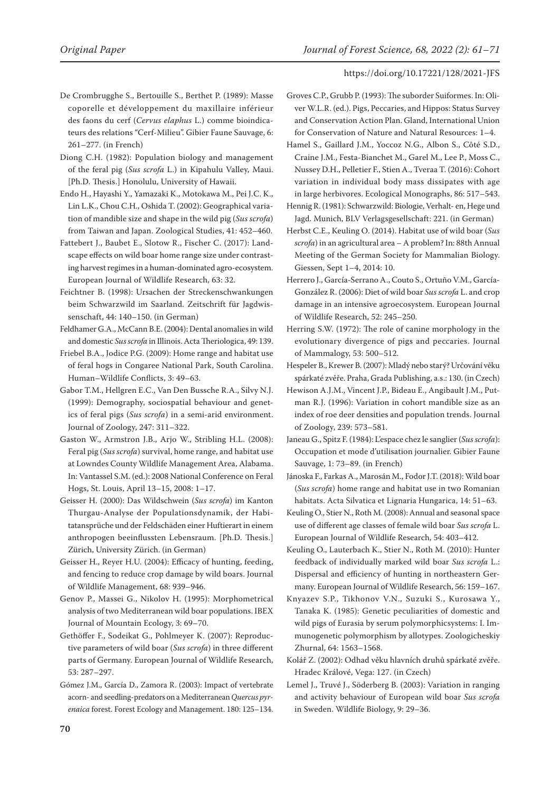- De Crombrugghe S., Bertouille S., Berthet P. (1989): Masse coporelle et développement du maxillaire inférieur des faons du cerf (*Cervus elaphus* L.) comme bioindicateurs des relations "Cerf-Milieu". Gibier Faune Sauvage, 6: 261–277. (in French)
- Diong C.H. (1982): Population biology and management of the feral pig (*Sus scrofa* L.) in Kipahulu Valley, Maui. [Ph.D. Thesis.] Honolulu, University of Hawaii.
- Endo H., Hayashi Y., Yamazaki K., Motokawa M., Pei J.C. K., Lin L.K., Chou C.H., Oshida T. (2002): Geographical variation of mandible size and shape in the wild pig (*Sus scrofa*) from Taiwan and Japan. Zoological Studies, 41: 452–460.
- Fattebert J., Baubet E., Slotow R., Fischer C. (2017): Landscape effects on wild boar home range size under contrasting harvest regimes in a human-dominated agro-ecosystem. European Journal of Wildlife Research, 63: 32.
- Feichtner B. (1998): Ursachen der Streckenschwankungen beim Schwarzwild im Saarland. Zeitschrift für Jagdwissenschaft, 44: 140–150. (in German)
- Feldhamer G.A., McCann B.E. (2004): Dental anomalies in wild and domestic *Sus scrofa* in Illinois. Acta Theriologica, 49: 139.
- Friebel B.A., Jodice P.G. (2009): Home range and habitat use of feral hogs in Congaree National Park, South Carolina. Human–Wildlife Conflicts, 3: 49–63.
- Gabor T.M., Hellgren E.C., Van Den Bussche R.A., Silvy N.J. (1999): Demography, sociospatial behaviour and genetics of feral pigs (*Sus scrofa*) in a semi-arid environment. Journal of Zoology, 247: 311–322.
- Gaston W., Armstron J.B., Arjo W., Stribling H.L. (2008): Feral pig (*Sus scrofa*) survival, home range, and habitat use at Lowndes County Wildlife Management Area, Alabama. In: Vantassel S.M. (ed.): 2008 National Conference on Feral Hogs, St. Louis, April 13–15, 2008: 1–17.
- Geisser H. (2000): Das Wildschwein (*Sus scrofa*) im Kanton Thurgau‐Analyse der Populationsdynamik, der Habitatansprüche und der Feldschäden einer Huftierart in einem anthropogen beeinflussten Lebensraum. [Ph.D. Thesis.] Zürich, University Zürich. (in German)
- Geisser H., Reyer H.U. (2004): Efficacy of hunting, feeding, and fencing to reduce crop damage by wild boars. Journal of Wildlife Management, 68: 939–946.
- Genov P., Massei G., Nikolov H. (1995): Morphometrical analysis of two Mediterranean wild boar populations. IBEX Journal of Mountain Ecology, 3: 69–70.
- Gethöffer F., Sodeikat G., Pohlmeyer K. (2007): Reproductive parameters of wild boar (*Sus scrofa*) in three different parts of Germany. European Journal of Wildlife Research, 53: 287–297.
- Gómez J.M., García D., Zamora R. (2003): Impact of vertebrate acorn- and seedling-predators on a Mediterranean *Quercus pyrenaica* forest. Forest Ecology and Management. 180: 125–134.
- Groves C.P., Grubb P. (1993): The suborder Suiformes. In: Oliver W.L.R. (ed.). Pigs, Peccaries, and Hippos: Status Survey and Conservation Action Plan. Gland, International Union for Conservation of Nature and Natural Resources: 1–4.
- Hamel S., Gaillard J.M., Yoccoz N.G., Albon S., Côté S.D., Craine J.M., Festa-Bianchet M., Garel M., Lee P., Moss C., Nussey D.H., Pelletier F., Stien A., Tveraa T. (2016): Cohort variation in individual body mass dissipates with age in large herbivores. Ecological Monographs, 86: 517–543.
- Hennig R. (1981): Schwarzwild: Biologie, Verhalt- en, Hege und Jagd. Munich, BLV Verlagsgesellschaft: 221. (in German)
- Herbst C.E., Keuling O. (2014). Habitat use of wild boar (*Sus scrofa*) in an agricultural area – A problem? In: 88th Annual Meeting of the German Society for Mammalian Biology. Giessen, Sept 1–4, 2014: 10.
- Herrero J., García-Serrano A., Couto S., Ortuño V.M., García-González R. (2006): Diet of wild boar *Sus scrofa* L. and crop damage in an intensive agroecosystem. European Journal of Wildlife Research, 52: 245–250.
- Herring S.W. (1972): The role of canine morphology in the evolutionary divergence of pigs and peccaries. Journal of Mammalogy, 53: 500–512.
- Hespeler B., Krewer B. (2007): Mladý nebo starý? Určování věku spárkaté zvěře. Praha, Grada Publishing, a.s.: 130. (in Czech)
- Hewison A.J.M., Vincent J.P., Bideau E., Angibault J.M., Putman R.J. (1996): Variation in cohort mandible size as an index of roe deer densities and population trends. Journal of Zoology, 239: 573–581.
- Janeau G., Spitz F. (1984): L'espace chez le sanglier (*Sus scrofa*): Occupation et mode d'utilisation journalier. Gibier Faune Sauvage, 1: 73–89. (in French)
- Jánoska F., Farkas A., Marosán M., Fodor J.T. (2018): Wild boar (*Sus scrofa*) home range and habitat use in two Romanian habitats. Acta Silvatica et Lignaria Hungarica, 14: 51–63.
- Keuling O., Stier N., Roth M. (2008): Annual and seasonal space use of different age classes of female wild boar *Sus scrofa* L. European Journal of Wildlife Research, 54: 403–412.
- Keuling O., Lauterbach K., Stier N., Roth M. (2010): Hunter feedback of individually marked wild boar *Sus scrofa* L.: Dispersal and efficiency of hunting in northeastern Germany. European Journal of Wildlife Research, 56: 159–167.
- Knyazev S.P., Tikhonov V.N., Suzuki S., Kurosawa Y., Tanaka K. (1985): Genetic peculiarities of domestic and wild pigs of Eurasia by serum polymorphicsystems: I. Immunogenetic polymorphism by allotypes. Zoologicheskiy Zhurnal, 64: 1563–1568.
- Kolář Z. (2002): Odhad věku hlavních druhů spárkaté zvěře. Hradec Králové, Vega: 127. (in Czech)
- Lemel J., Truvé J., Söderberg B. (2003): Variation in ranging and activity behaviour of European wild boar *Sus scrofa* in Sweden. Wildlife Biology, 9: 29–36.